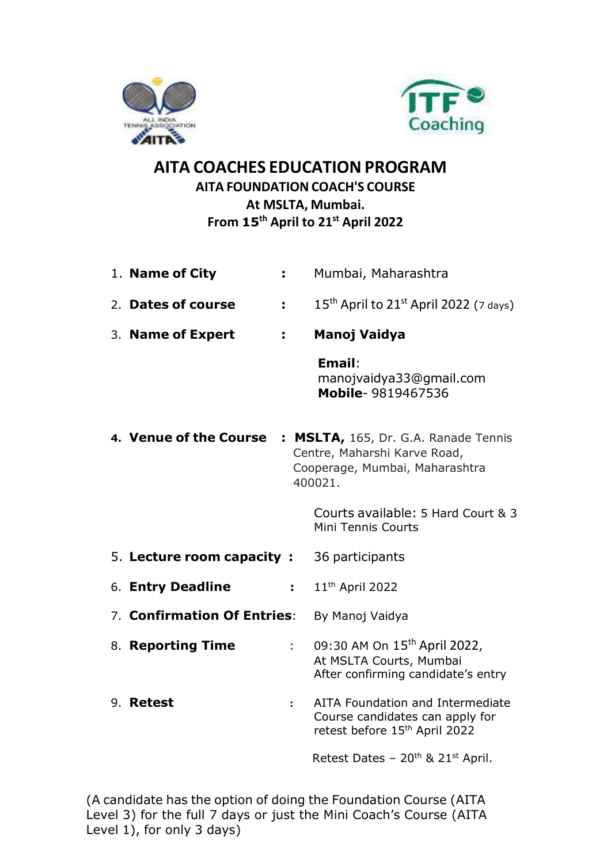



# AITA COACHES EDUCATION PROGRAM AITA FOUNDATION COACH'S COURSE At MSLTA, Mumbai. From 15<sup>th</sup> April to 21<sup>st</sup> April 2022

| 1. Name of City             | t.             | Mumbai, Maharashtra                                                                                               |
|-----------------------------|----------------|-------------------------------------------------------------------------------------------------------------------|
| 2. Dates of course          |                | $15th$ April to $21st$ April 2022 (7 days)                                                                        |
| 3. Name of Expert           | ÷.             | Manoj Vaidya                                                                                                      |
|                             |                | Email:<br>manojvaidya33@gmail.com<br>Mobile-9819467536                                                            |
| 4. Venue of the Course      |                | : MSLTA, 165, Dr. G.A. Ranade Tennis<br>Centre, Maharshi Karve Road,<br>Cooperage, Mumbai, Maharashtra<br>400021. |
|                             |                | Courts available: 5 Hard Court & 3<br>Mini Tennis Courts                                                          |
| 5. Lecture room capacity:   |                | 36 participants                                                                                                   |
| 6. Entry Deadline           | $\mathbf{1}$ . | 11 <sup>th</sup> April 2022                                                                                       |
| 7. Confirmation Of Entries: |                | By Manoj Vaidya                                                                                                   |
| 8. Reporting Time           | $\mathbf{r}$   | 09:30 AM On 15 <sup>th</sup> April 2022,<br>At MSLTA Courts, Mumbai<br>After confirming candidate's entry         |
| 9. Retest                   | $\ddot{\cdot}$ | AITA Foundation and Intermediate<br>Course candidates can apply for<br>retest before 15 <sup>th</sup> April 2022  |
|                             |                | Retest Dates - 20 <sup>th</sup> & 21 <sup>st</sup> April.                                                         |

(A candidate has the option of doing the Foundation Course (AITA Level 3) for the full 7 days or just the Mini Coach's Course (AITA Level 1), for only 3 days)